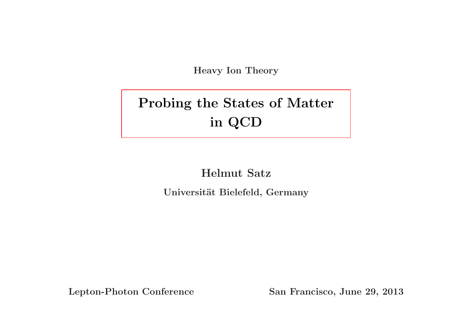Heavy Ion Theory

# Probing the States of Matter in QCD

Helmut Satz

Universität Bielefeld, Germany

Lepton-Photon Conference San Francisco, June 29, 2013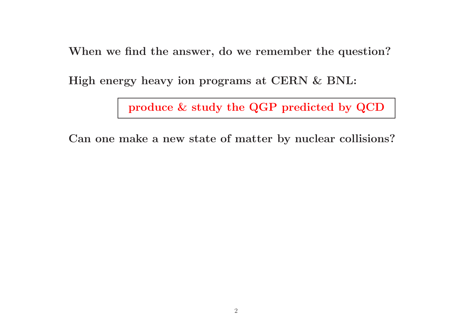When we find the answer, do we remember the question?

High energy heavy ion programs at CERN & BNL:

produce & study the QGP predicted by QCD

Can one make a new state of matter by nuclear collisions?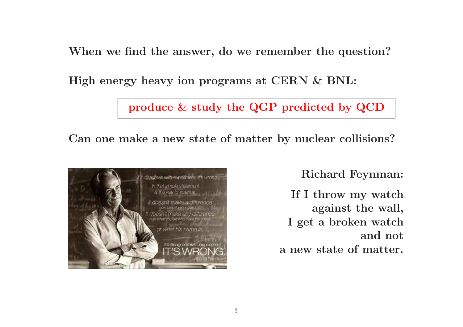When we find the answer, do we remember the question?

High energy heavy ion programs at CERN & BNL:

produce & study the QGP predicted by QCD

Can one make a new state of matter by nuclear collisions?



Richard Feynman:

If I throw my watch against the wall, I get a broken watch and not <sup>a</sup> new state of matter.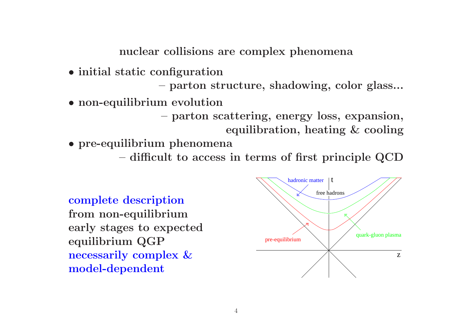nuclear collisions are complex phenomena

• initial static configuration

– parton structure, shadowing, color glass...

• non-equilibrium evolution

– parton scattering, energy loss, expansion, equilibration, heating & cooling

• pre-equilibrium phenomena

– difficult to access in terms of first principle QCD

complete description from non-equilibrium early stages to expected equilibrium QGP necessarily complex & model-dependent

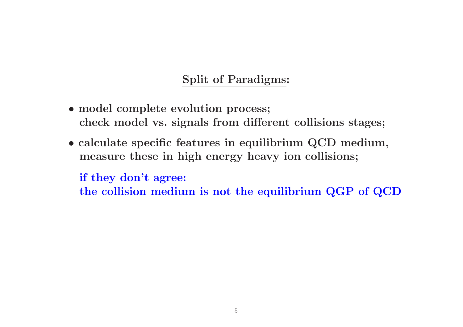# Split of Paradigms:

- model complete evolution process; check model vs. signals from different collisions stages;
- calculate specific features in equilibrium QCD medium, measure these in high energy heavy ion collisions;

if they don't agree: the collision medium is not the equilibrium QGP of QCD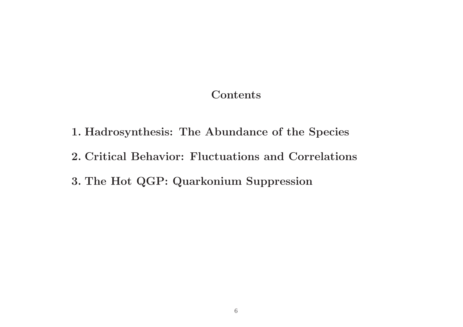# **Contents**

- 1. Hadrosynthesis: The Abundance of the Species
- 2. Critical Behavior: Fluctuations and Correlations
- 3. The Hot QGP: Quarkonium Suppression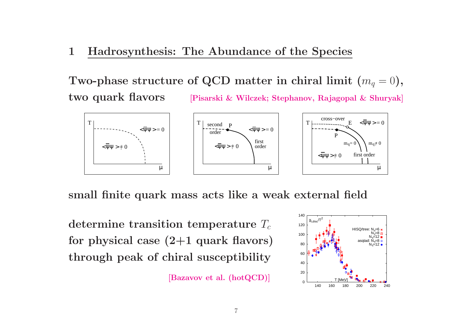#### 1 Hadrosynthesis: The Abundance of the Species

Two-phase structure of QCD matter in chiral limit  $(m_q = 0),$ two quark flavors [Pisarski & Wilczek; Stephanov, Rajagopal & Shuryak]



small finite quark mass acts like a weak external field

determine transition temperature  $T_c$ for physical case  $(2+1)$  quark flavors) through peak of chiral susceptibility

[Bazavov et al. (hotQCD)]

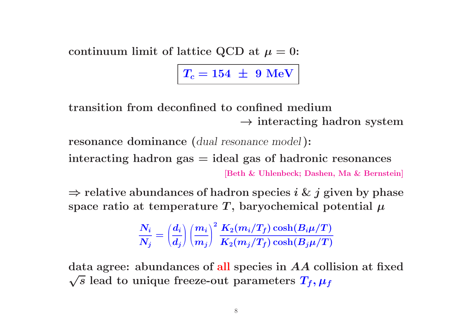$\text{continuum limit of lattice QCD at }\mu=0\text{: }$ 

 $T_c = 154$   $\pm$  9 MeV

transition from deconfined to confined medium  $\rightarrow$  interacting hadron system

resonance dominance (dual resonance model ):

interacting hadron  $gas = ideal$  gas of hadronic resonances [Beth & Uhlenbeck; Dashen, Ma & Bernstein]

 $\Rightarrow$  relative abundances of hadron species  $i \ \& \ j$  given by phase space ratio at temperature  $T,$  baryochemical potential  $\mu$ 

$$
\frac{N_i}{N_j} = \left(\!\frac{d_i}{d_j}\!\right) \! \left(\!\frac{m_i}{m_j}\!\right)^2 \! \frac{K_2(m_i/T_f) \cosh(B_i \mu/T)}{K_2(m_j/T_f) \cosh(B_j \mu/T)}
$$

data agree: abundances of all species in AA collision at fixed data agree: abundances of all species in *AA* coll<br> $\sqrt{s}$  lead to unique freeze-out parameters  $T_f, \mu_f$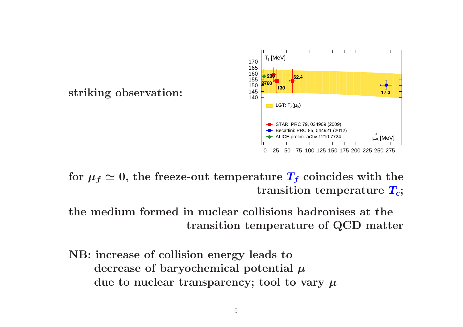

striking observation:

for  $\mu_f \simeq 0$ , the freeze-out temperature  $T_f$  coincides with the transition temperature  $T_c$ ;

the medium formed in nuclear collisions hadronises at the transition temperature of QCD matter

NB: increase of collision energy leads to decrease of baryochemical potential  $\mu$ due to nuclear transparency; tool to vary  $\mu$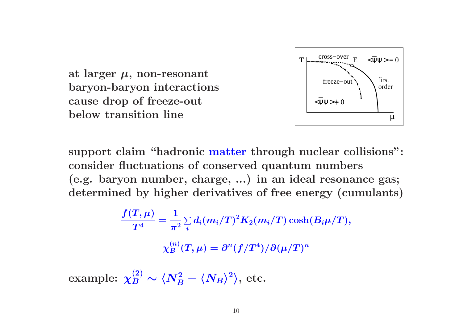

at larger  $\mu$ , non-resonant baryon-baryon interactions cause drop of freeze-out below transition line

support claim "hadronic matter through nuclear collisions": consider fluctuations of conserved quantum numbers (e.g. baryon number, charge, ...) in an ideal resonance gas; determined by higher derivatives of free energy (cumulants)

$$
\frac{f(T,\mu)}{T^4}=\frac{1}{\pi^2}\textstyle\sum\limits_{i}d_i(m_i/T)^2K_2(m_i/T)\cosh(B_i\mu/T),\\ \chi_B^{(n)}(T,\mu)=\partial^n(f/T^4)/\partial(\mu/T)^n
$$

example:  $\chi_B^{(2)} \sim \langle N_B^2 - \langle N_B \rangle^2$ , etc.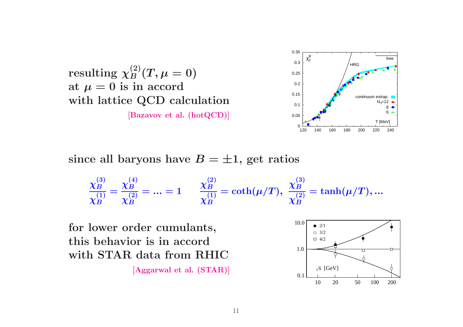



since all baryons have  $B = \pm 1$ , get ratios

$$
\frac{\chi_B^{(3)}}{\chi_B^{(1)}}=\frac{\chi_B^{(4)}}{\chi_B^{(2)}}=...=1\qquad \frac{\chi_B^{(2)}}{\chi_B^{(1)}}=\coth(\mu/T),\; \frac{\chi_B^{(3)}}{\chi_B^{(2)}}=\tanh(\mu/T),... \qquad
$$

for lower order cumulants, this behavior is in accord with STAR data from RHIC

[Aggarwal et al. (STAR)]

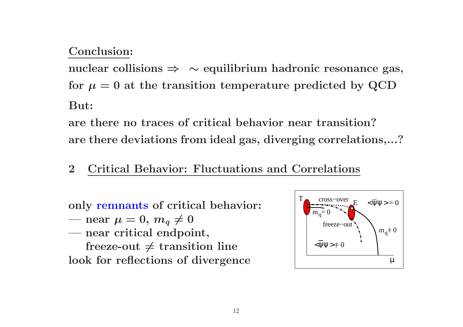## Conclusion:

nuclear collisions  $\Rightarrow \sim$  equilibrium hadronic resonance gas, for  $\mu = 0$  at the transition temperature predicted by QCD But:

are there no traces of critical behavior near transition? are there deviations from ideal gas, diverging correlations,...?

# 2 Critical Behavior: Fluctuations and Correlations

only remnants of critical behavior:

$$
\,\,\boldsymbol{-}\,\,\text{near}\,\,\mu=0,\,m_q\neq 0
$$

— near critical endpoint, freeze-out  $\neq$  transition line look for reflections of divergence

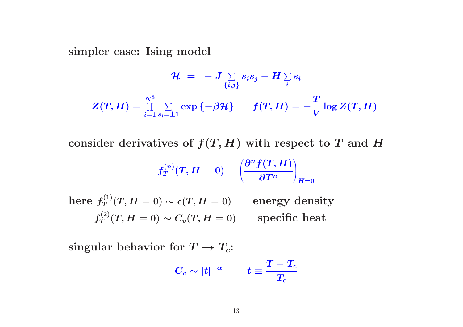simpler case: Ising model

$$
\mathcal{H} \,\,=\,\, - \, J \mathop{\textstyle \sum}_{\{i,j\}} s_i s_j - H \mathop{\textstyle \sum}_{i} s_i
$$
\n
$$
Z(T,H) = \mathop{\textstyle \prod}_{i=1}^{N^3} \mathop{\textstyle \sum}_{s_i=\pm 1} \exp \left\{ - \beta \mathcal{H} \right\} \hspace{5mm} f(T,H) = - \frac{T}{V} \log Z(T,H)
$$

consider derivatives of  $f(T, H)$  with respect to T and H

$$
f_T^{(n)}(T,H=0)=\left(\frac{\partial^n f(T,H)}{\partial T^n}\right)_{H=0}
$$

 $\text{here} \; f_T^{(1)}(T,H=0) \sim \epsilon(T,H=0) \; \text{---} \; \text{energy density}$  $f^{(2)}_T(T,H=0) \sim C_v(T,H=0)$  — specific heat

singular behavior for  $T\rightarrow T_c$ :

$$
C_v \sim |t|^{-\alpha} \qquad t \equiv \frac{T-T_c}{T_c}
$$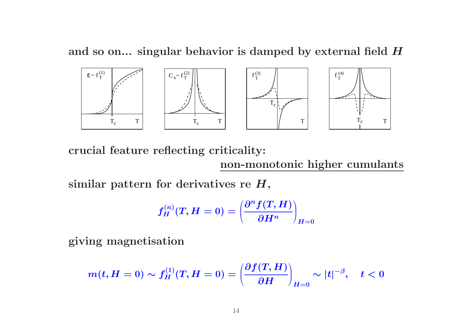and so on... singular behavior is damped by external field  $H$ 



crucial feature reflecting criticality: non-monotonic higher cumulants

similar pattern for derivatives re  $\boldsymbol{H},$ 

$$
f_H^{(n)}(T,H=0)=\left(\frac{\partial^n f(T,H)}{\partial H^n}\right)_{H=0}
$$

giving magnetisation

$$
m(t,H=0)\sim f_H^{(1)}(T,H=0)=\left(\frac{\partial f(T,H)}{\partial H}\right)_{H=0}\sim |t|^{-\beta},\quad t<0
$$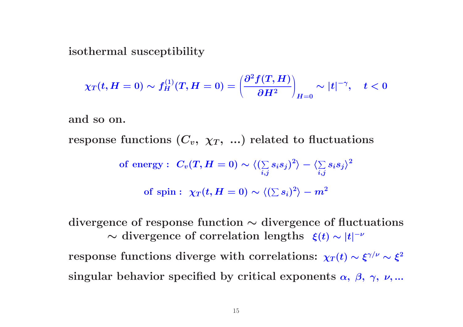isothermal susceptibility

$$
\chi_T(t,H=0)\sim f_H^{(1)}(T,H=0)=\left(\frac{\partial^2 f(T,H)}{\partial H^2}\right)_{H=0}\sim |t|^{-\gamma},\quad t<0
$$

and so on.

 $\text{response functions} \,\left(C_v,\,\, \chi_T,\,\, ... \right) \,\text{related to fluctuations}$ 

$$
\begin{aligned} \text{of energy}: \hspace{0.2cm} C_v(T,H=0) &\sim \langle (\textstyle\sum\limits_{i,j} s_i s_j)^2 \rangle - \langle \textstyle\sum\limits_{i,j} s_i s_j \rangle^2 \\ \text{of spin}: \hspace{0.2cm} \chi_T(t,H=0) &\sim \langle (\textstyle\sum s_i)^2 \rangle - m^2 \end{aligned}
$$

divergence of response function ∼ divergence of fluctuations  $\sim$  divergence of correlation lengths  $\xi(t) \sim |t|^{-\nu}$ 

 $\text{response functions}$  diverge with correlations:  $\chi_T(t) \sim \xi^{\gamma/\nu} \sim \xi^2$ singular behavior specified by critical exponents  $\alpha$ ,  $\beta$ ,  $\gamma$ ,  $\nu$ ,...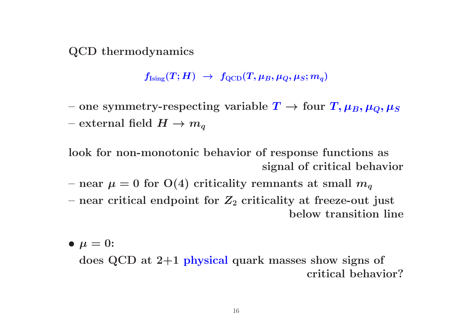QCD thermodynamics

 $f_{\text{Ising}}(T;H) \rightarrow f_{\text{QCD}}(T,\mu_B,\mu_Q,\mu_S;m_q)$ 

– one symmetry-respecting variable  $T \rightarrow$  four  $T, \mu_B, \mu_Q, \mu_S$ – external field  $H \to m_q$ 

look for non-monotonic behavior of response functions as signal of critical behavior

– near  $\mu = 0$  for  $O(4)$  criticality remnants at small  $m_q$ 

– near critical endpoint for  $Z_2$  criticality at freeze-out just below transition line

 $\bullet \mu = 0$ :

does QCD at 2+1 physical quark masses show signs of critical behavior?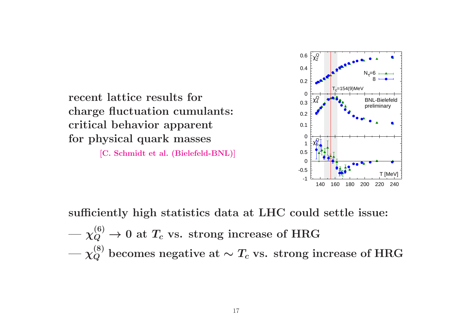recent lattice results for charge fluctuation cumulants: critical behavior apparent for physical quark masses

[C. Schmidt et al. (Bielefeld-BNL)]



sufficiently high statistics data at LHC could settle issue:

 $-\chi_Q^{(6)} \to 0$  at  $T_c$  vs. strong increase of HRG  $-\chi_{O}^{(8)}$  becomes negative at  $\sim T_c$  vs. strong increase of HRG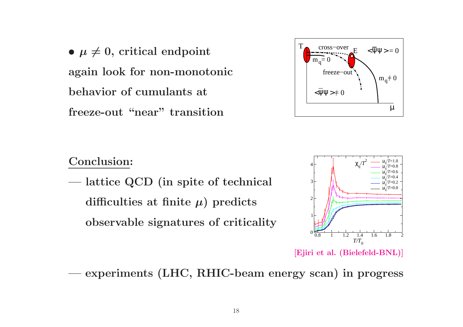•  $\mu \neq 0$ , critical endpoint again look for non-monotonic behavior of cumulants at freeze-out "near" transition  $\mu$ 



# Conclusion:

— lattice QCD (in spite of technical difficulties at finite  $\mu$ ) predicts observable signatures of criticality



[Ejiri et al. (Bielefeld-BNL)]

— experiments (LHC, RHIC-beam energy scan) in progress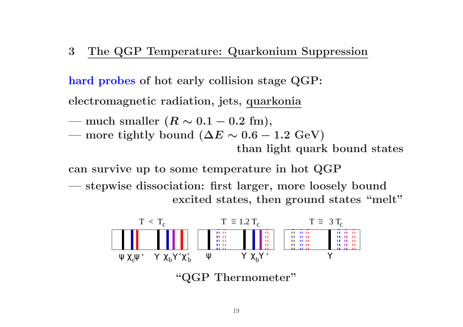#### 3 The QGP Temperature: Quarkonium Suppression

hard probes of hot early collision stage QGP: electromagnetic radiation, jets, quarkonia

$$
\quad - \text{ much smaller } (R \sim 0.1 - 0.2 \text{ fm}),
$$

 $\rule{1em}$  − more tightly bound (Δ $E \sim 0.6 - 1.2$  GeV)

than light quark bound states

can survive up to some temperature in hot QGP — stepwise dissociation: first larger, more loosely bound excited states, then ground states "melt"



"QGP Thermometer"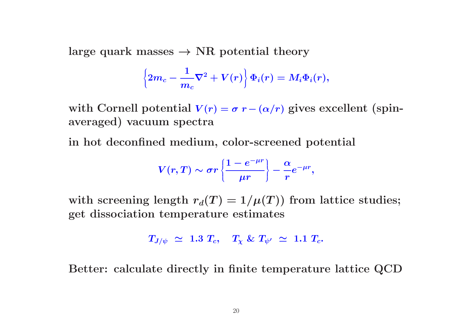large quark masses  $\rightarrow$  NR potential theory

$$
\left\{2m_c-\frac{1}{m_c}\nabla^2+V(r)\right\}\Phi_i(r)=M_i\Phi_i(r),
$$

with Cornell potential  $V(r) = \sigma r - (\alpha/r)$  gives excellent (spinaveraged) vacuum spectra

in hot deconfined medium, color-screened potential

$$
V(r,T) \sim \sigma r \left\{ \frac{1-e^{-\mu r}}{\mu r} \right\} - \frac{\alpha}{r} e^{-\mu r},
$$

with screening length  $r_d(T) = 1/\mu(T)$  from lattice studies; get dissociation temperature estimates

$$
T_{J/\psi} \;\simeq\; 1.3 \; T_c, \quad T_{\chi} \;\&\; T_{\psi'} \;\simeq\; 1.1 \; T_c.
$$

Better: calculate directly in finite temperature lattice QCD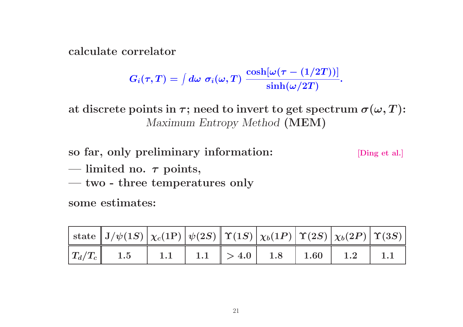calculate correlator

$$
G_i(\tau,T) = \textstyle \int d\omega \,\, \sigma_i(\omega,T) \, \, \frac{\cosh[\omega(\tau - (1/2T))]}{\sinh(\omega/2T)}.
$$

at discrete points in  $\tau$ ; need to invert to get spectrum  $\sigma(\omega, T)$ : Maximum Entropy Method (MEM)

so far, only preliminary information: [Ding et al.]

- limited no.  $\tau$  points,
- two three temperatures only

some estimates:

| $\Big \begin{array}{c c} \text{state} & \text{J}/\psi(1S) \end{array}\Big \begin{array}{c} \chi_c(1\text{P}) \end{array}\Big \begin{array}{c c} \psi(2S) & \text{T}(1S) \end{array}\Big \begin{array}{c} \chi_b(1P) & \text{T}(2S) \end{array}\Big \begin{array}{c} \chi_b(2P) & \text{T}(3S) \end{array}\Big $ |  |  |  |  |
|-----------------------------------------------------------------------------------------------------------------------------------------------------------------------------------------------------------------------------------------------------------------------------------------------------------------|--|--|--|--|
| $\left \,T_{d}/T_{c}\,\right $ $\quad 1.5\quad \left \quad 1.1\quad \right  \quad 1.1\quad \left \, >4.0\, \right  \quad 1.8\quad \left \quad 1.60\quad \right  \quad 1.2\quad \left \quad 1.1\quad \right $                                                                                                    |  |  |  |  |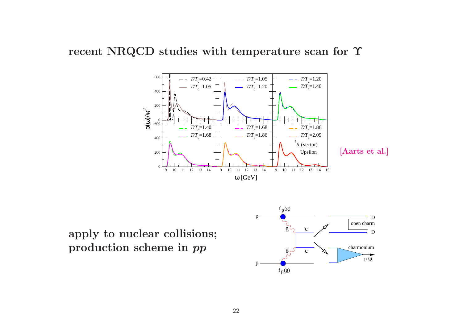

apply to nuclear collisions; production scheme in pp

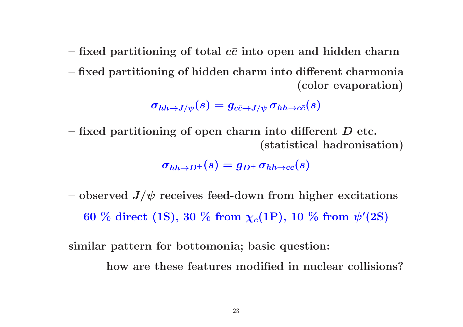– fixed partitioning of total  $c\bar{c}$  into open and hidden charm – fixed partitioning of hidden charm into different charmonia (color evaporation)

 $\sigma_{hh\to J/\psi}(s)=g_{c\bar c\to J/\psi}\,\sigma_{hh\to c\bar c}(s)$ 

 $-$  fixed partitioning of open charm into different  $D$  etc. (statistical hadronisation)

 $\sigma_{hh\to D^+}(s)=g_{D^+}\,\sigma_{hh\to c\bar{c}}(s)$ 

– observed  $J/\psi$  receives feed-down from higher excitations  $60$  % direct  $(1{\rm S}),\,30$  % from  $\chi_c(1{\rm P}),\,10$  % from  $\psi^\prime(2{\rm S})$ 

similar pattern for bottomonia; basic question:

how are these features modified in nuclear collisions?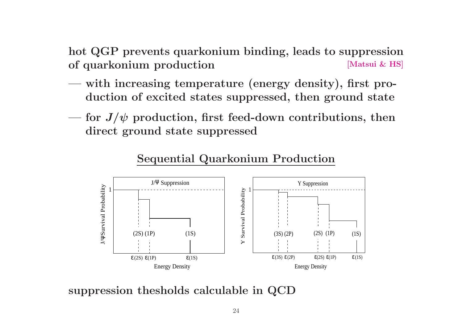hot QGP prevents quarkonium binding, leads to suppression of quarkonium production [Matsui & HS]

- with increasing temperature (energy density), first production of excited states suppressed, then ground state
- for  $J/\psi$  production, first feed-down contributions, then direct ground state suppressed



# Sequential Quarkonium Production

suppression thesholds calculable in QCD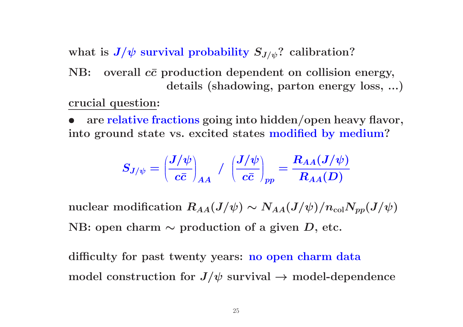what is  $J/\psi$  survival probability  $S_{J/\psi}$ ? calibration?

NB: overall  $c\bar{c}$  production dependent on collision energy, details (shadowing, parton energy loss, ...)

#### crucial question:

are relative fractions going into hidden/open heavy flavor, into ground state vs. excited states modified by medium?

$$
S_{J/\psi} = \left(\! \frac{J/\psi}{c\overline{c}}\right)_{AA} \; / \; \left(\! \frac{J/\psi}{c\overline{c}}\right)_{pp} = \frac{R_{AA}(J/\psi)}{R_{AA}(D)}
$$

nuclear modification  $R_{AA}(J/\psi) \sim N_{AA}(J/\psi)/n_{\text{col}}N_{pp}(J/\psi)$ NB: open charm  $\sim$  production of a given D, etc.

difficulty for past twenty years: no open charm data model construction for  $J/\psi$  survival  $\rightarrow$  model-dependence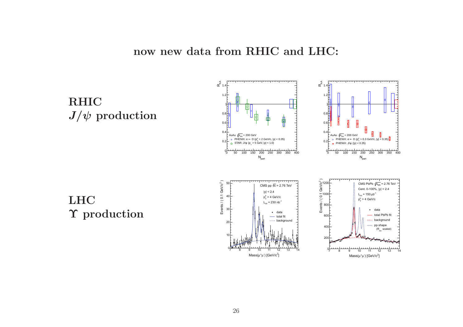